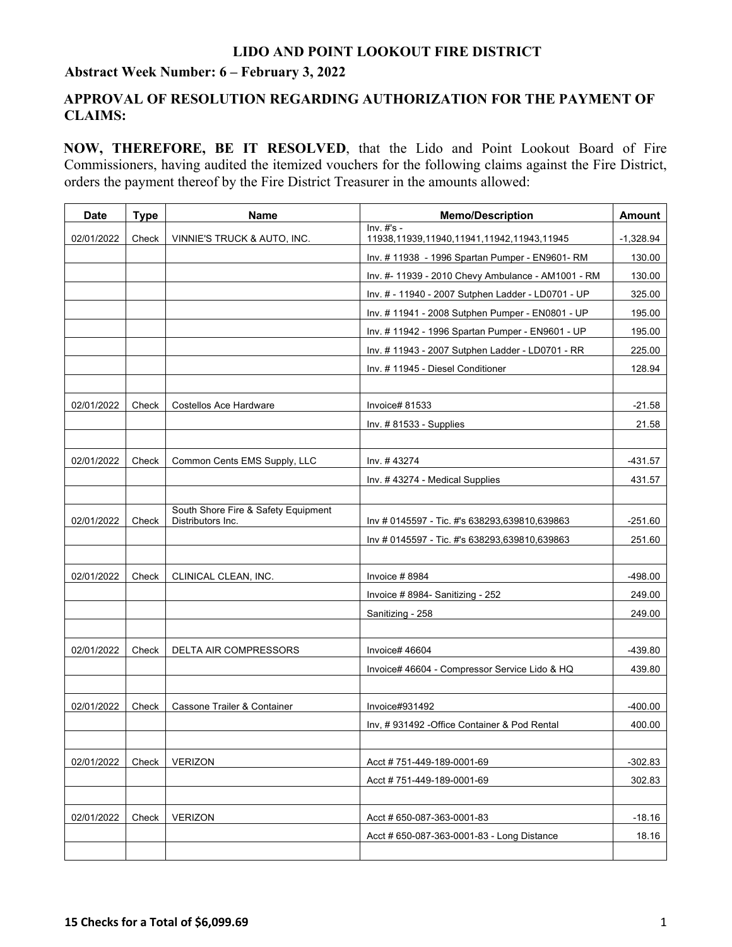## **LIDO AND POINT LOOKOUT FIRE DISTRICT**

## **Abstract Week Number: 6 – February 3, 2022**

# **APPROVAL OF RESOLUTION REGARDING AUTHORIZATION FOR THE PAYMENT OF CLAIMS:**

**NOW, THEREFORE, BE IT RESOLVED**, that the Lido and Point Lookout Board of Fire Commissioners, having audited the itemized vouchers for the following claims against the Fire District, orders the payment thereof by the Fire District Treasurer in the amounts allowed:

| <b>Date</b> | <b>Type</b> | <b>Name</b>                                              | <b>Memo/Description</b>                                  | Amount      |
|-------------|-------------|----------------------------------------------------------|----------------------------------------------------------|-------------|
| 02/01/2022  | Check       | VINNIE'S TRUCK & AUTO, INC.                              | $Inv. #s -$<br>11938,11939,11940,11941,11942,11943,11945 | $-1,328.94$ |
|             |             |                                                          | Inv. #11938 - 1996 Spartan Pumper - EN9601-RM            | 130.00      |
|             |             |                                                          | Inv. #- 11939 - 2010 Chevy Ambulance - AM1001 - RM       | 130.00      |
|             |             |                                                          | Inv. # - 11940 - 2007 Sutphen Ladder - LD0701 - UP       | 325.00      |
|             |             |                                                          | Inv. #11941 - 2008 Sutphen Pumper - EN0801 - UP          | 195.00      |
|             |             |                                                          | Inv. #11942 - 1996 Spartan Pumper - EN9601 - UP          | 195.00      |
|             |             |                                                          | Inv. #11943 - 2007 Sutphen Ladder - LD0701 - RR          | 225.00      |
|             |             |                                                          | Inv. # 11945 - Diesel Conditioner                        | 128.94      |
|             |             |                                                          |                                                          |             |
| 02/01/2022  | Check       | Costellos Ace Hardware                                   | Invoice# 81533                                           | $-21.58$    |
|             |             |                                                          | Inv. #81533 - Supplies                                   | 21.58       |
|             |             |                                                          |                                                          |             |
| 02/01/2022  | Check       | Common Cents EMS Supply, LLC                             | Inv. #43274                                              | $-431.57$   |
|             |             |                                                          | Inv. #43274 - Medical Supplies                           | 431.57      |
|             |             |                                                          |                                                          |             |
| 02/01/2022  | Check       | South Shore Fire & Safety Equipment<br>Distributors Inc. | Inv # 0145597 - Tic. #'s 638293,639810,639863            | $-251.60$   |
|             |             |                                                          | Inv # 0145597 - Tic. #'s 638293,639810,639863            | 251.60      |
|             |             |                                                          |                                                          |             |
| 02/01/2022  | Check       | CLINICAL CLEAN, INC.                                     | Invoice #8984                                            | $-498.00$   |
|             |             |                                                          | Invoice #8984- Sanitizing - 252                          | 249.00      |
|             |             |                                                          | Sanitizing - 258                                         | 249.00      |
|             |             |                                                          |                                                          |             |
| 02/01/2022  | Check       | DELTA AIR COMPRESSORS                                    | Invoice# 46604                                           | $-439.80$   |
|             |             |                                                          | Invoice# 46604 - Compressor Service Lido & HQ            | 439.80      |
|             |             |                                                          |                                                          |             |
| 02/01/2022  | Check       | Cassone Trailer & Container                              | Invoice#931492                                           | $-400.00$   |
|             |             |                                                          | Inv, #931492 - Office Container & Pod Rental             | 400.00      |
|             |             |                                                          |                                                          |             |
| 02/01/2022  | Check       | <b>VERIZON</b>                                           | Acct #751-449-189-0001-69                                | $-302.83$   |
|             |             |                                                          | Acct #751-449-189-0001-69                                | 302.83      |
|             |             |                                                          |                                                          |             |
| 02/01/2022  | Check       | <b>VERIZON</b>                                           | Acct # 650-087-363-0001-83                               | $-18.16$    |
|             |             |                                                          | Acct # 650-087-363-0001-83 - Long Distance               | 18.16       |
|             |             |                                                          |                                                          |             |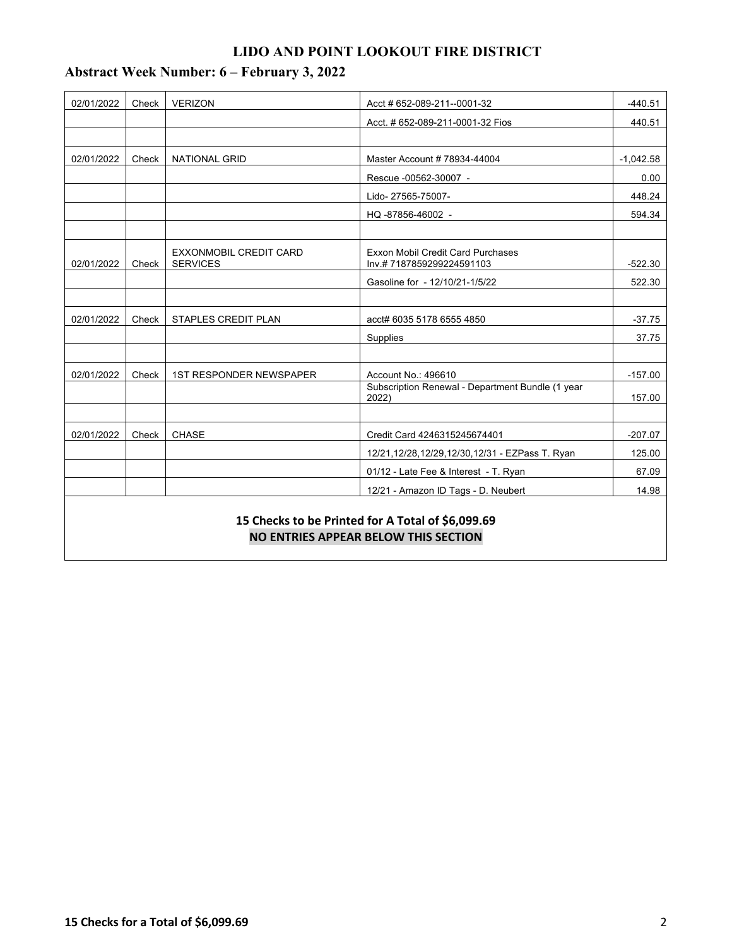# **LIDO AND POINT LOOKOUT FIRE DISTRICT**

| 02/01/2022                                                                                | Check | <b>VERIZON</b>                                   | $-440.51$<br>Acct # 652-089-211--0001-32                             |             |  |  |  |
|-------------------------------------------------------------------------------------------|-------|--------------------------------------------------|----------------------------------------------------------------------|-------------|--|--|--|
|                                                                                           |       |                                                  | Acct. # 652-089-211-0001-32 Fios                                     | 440.51      |  |  |  |
|                                                                                           |       |                                                  |                                                                      |             |  |  |  |
| 02/01/2022                                                                                | Check | <b>NATIONAL GRID</b>                             | Master Account # 78934-44004                                         | $-1,042.58$ |  |  |  |
|                                                                                           |       |                                                  | Rescue -00562-30007 -                                                | 0.00        |  |  |  |
|                                                                                           |       |                                                  | Lido-27565-75007-                                                    | 448.24      |  |  |  |
|                                                                                           |       |                                                  | HQ-87856-46002 -                                                     | 594.34      |  |  |  |
|                                                                                           |       |                                                  |                                                                      |             |  |  |  |
| 02/01/2022                                                                                | Check | <b>EXXONMOBIL CREDIT CARD</b><br><b>SERVICES</b> | <b>Exxon Mobil Credit Card Purchases</b><br>Inv.#7187859299224591103 | $-522.30$   |  |  |  |
|                                                                                           |       |                                                  | Gasoline for - 12/10/21-1/5/22                                       | 522.30      |  |  |  |
|                                                                                           |       |                                                  |                                                                      |             |  |  |  |
| 02/01/2022                                                                                | Check | STAPLES CREDIT PLAN                              | acct# 6035 5178 6555 4850                                            | $-37.75$    |  |  |  |
|                                                                                           |       |                                                  | Supplies                                                             | 37.75       |  |  |  |
|                                                                                           |       |                                                  |                                                                      |             |  |  |  |
| 02/01/2022                                                                                | Check | <b>1ST RESPONDER NEWSPAPER</b>                   | Account No.: 496610                                                  | $-157.00$   |  |  |  |
|                                                                                           |       |                                                  | Subscription Renewal - Department Bundle (1 year<br>2022)            | 157.00      |  |  |  |
|                                                                                           |       |                                                  |                                                                      |             |  |  |  |
| 02/01/2022                                                                                | Check | <b>CHASE</b>                                     | Credit Card 4246315245674401                                         | $-207.07$   |  |  |  |
|                                                                                           |       |                                                  | 12/21,12/28,12/29,12/30,12/31 - EZPass T. Ryan                       | 125.00      |  |  |  |
|                                                                                           |       |                                                  | 01/12 - Late Fee & Interest - T. Ryan                                | 67.09       |  |  |  |
|                                                                                           |       |                                                  | 12/21 - Amazon ID Tags - D. Neubert                                  | 14.98       |  |  |  |
| 15 Checks to be Printed for A Total of \$6,099.69<br>NO ENTRIES APPEAR BELOW THIS SECTION |       |                                                  |                                                                      |             |  |  |  |

# **Abstract Week Number: 6 – February 3, 2022**